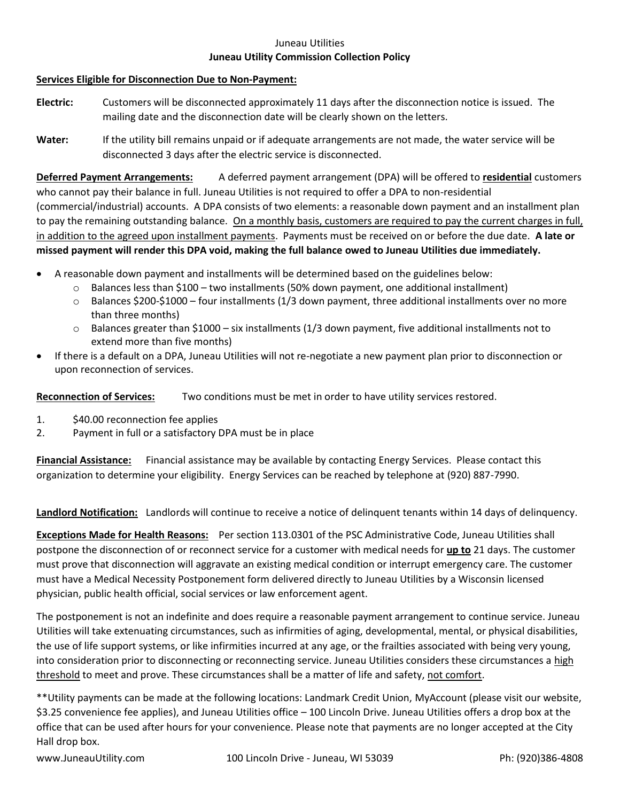## Juneau Utilities **Juneau Utility Commission Collection Policy**

## **Services Eligible for Disconnection Due to Non-Payment:**

- **Electric:** Customers will be disconnected approximately 11 days after the disconnection notice is issued. The mailing date and the disconnection date will be clearly shown on the letters.
- **Water:** If the utility bill remains unpaid or if adequate arrangements are not made, the water service will be disconnected 3 days after the electric service is disconnected.

**Deferred Payment Arrangements:** A deferred payment arrangement (DPA) will be offered to **residential** customers who cannot pay their balance in full. Juneau Utilities is not required to offer a DPA to non-residential (commercial/industrial) accounts. A DPA consists of two elements: a reasonable down payment and an installment plan to pay the remaining outstanding balance. On a monthly basis, customers are required to pay the current charges in full, in addition to the agreed upon installment payments. Payments must be received on or before the due date. **A late or missed payment will render this DPA void, making the full balance owed to Juneau Utilities due immediately.**

- A reasonable down payment and installments will be determined based on the guidelines below:
	- $\circ$  Balances less than \$100 two installments (50% down payment, one additional installment)
	- $\circ$  Balances \$200-\$1000 four installments (1/3 down payment, three additional installments over no more than three months)
	- o Balances greater than \$1000 six installments (1/3 down payment, five additional installments not to extend more than five months)
- If there is a default on a DPA, Juneau Utilities will not re-negotiate a new payment plan prior to disconnection or upon reconnection of services.

**Reconnection of Services:** Two conditions must be met in order to have utility services restored.

- 1. \$40.00 reconnection fee applies
- 2. Payment in full or a satisfactory DPA must be in place

**Financial Assistance:** Financial assistance may be available by contacting Energy Services. Please contact this organization to determine your eligibility. Energy Services can be reached by telephone at (920) 887-7990.

**Landlord Notification:** Landlords will continue to receive a notice of delinquent tenants within 14 days of delinquency.

**Exceptions Made for Health Reasons:** Per section 113.0301 of the PSC Administrative Code, Juneau Utilities shall postpone the disconnection of or reconnect service for a customer with medical needs for **up to** 21 days. The customer must prove that disconnection will aggravate an existing medical condition or interrupt emergency care. The customer must have a Medical Necessity Postponement form delivered directly to Juneau Utilities by a Wisconsin licensed physician, public health official, social services or law enforcement agent.

The postponement is not an indefinite and does require a reasonable payment arrangement to continue service. Juneau Utilities will take extenuating circumstances, such as infirmities of aging, developmental, mental, or physical disabilities, the use of life support systems, or like infirmities incurred at any age, or the frailties associated with being very young, into consideration prior to disconnecting or reconnecting service. Juneau Utilities considers these circumstances a high threshold to meet and prove. These circumstances shall be a matter of life and safety, not comfort.

\*\*Utility payments can be made at the following locations: Landmark Credit Union, MyAccount (please visit our website, \$3.25 convenience fee applies), and Juneau Utilities office – 100 Lincoln Drive. Juneau Utilities offers a drop box at the office that can be used after hours for your convenience. Please note that payments are no longer accepted at the City Hall drop box.